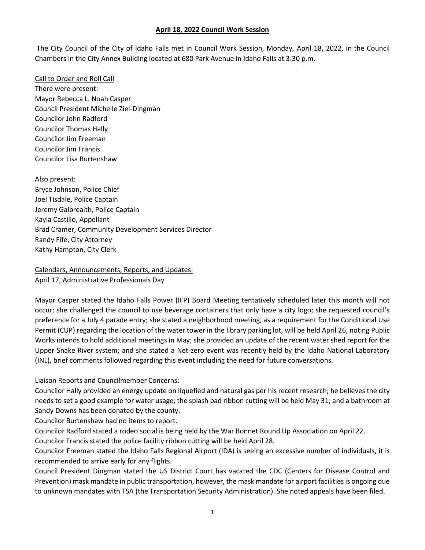The City Council of the City of Idaho Falls met in Council Work Session, Monday, April 18, 2022, in the Council Chambers in the City Annex Building located at 680 Park Avenue in Idaho Falls at 3:30 p.m.

Call to Order and Roll Call There were present: Mayor Rebecca L. Noah Casper Council President Michelle Ziel-Dingman Councilor John Radford Councilor Thomas Hally Councilor Jim Freeman Councilor Jim Francis Councilor Lisa Burtenshaw

Also present: Bryce Johnson, Police Chief Joel Tisdale, Police Captain Jeremy Galbreaith, Police Captain Kayla Castillo, Appellant Brad Cramer, Community Development Services Director Randy Fife, City Attorney Kathy Hampton, City Clerk

Calendars, Announcements, Reports, and Updates: April 17, Administrative Professionals Day

Mayor Casper stated the Idaho Falls Power (IFP) Board Meeting tentatively scheduled later this month will not occur; she challenged the council to use beverage containers that only have a city logo; she requested council's preference for a July 4 parade entry; she stated a neighborhood meeting, as a requirement for the Conditional Use Permit (CUP) regarding the location of the water tower in the library parking lot, will be held April 26, noting Public Works intends to hold additional meetings in May; she provided an update of the recent water shed report for the Upper Snake River system; and she stated a Net-zero event was recently held by the Idaho National Laboratory (INL), brief comments followed regarding this event including the need for future conversations.

## Liaison Reports and Councilmember Concerns:

Councilor Hally provided an energy update on liquefied and natural gas per his recent research; he believes the city needs to set a good example for water usage; the splash pad ribbon cutting will be held May 31; and a bathroom at Sandy Downs has been donated by the county.

Councilor Burtenshaw had no items to report.

Councilor Radford stated a rodeo social is being held by the War Bonnet Round Up Association on April 22.

Councilor Francis stated the police facility ribbon cutting will be held April 28.

Councilor Freeman stated the Idaho Falls Regional Airport (IDA) is seeing an excessive number of individuals, it is recommended to arrive early for any flights.

Council President Dingman stated the US District Court has vacated the CDC (Centers for Disease Control and Prevention) mask mandate in public transportation, however, the mask mandate for airport facilities is ongoing due to unknown mandates with TSA (the Transportation Security Administration). She noted appeals have been filed.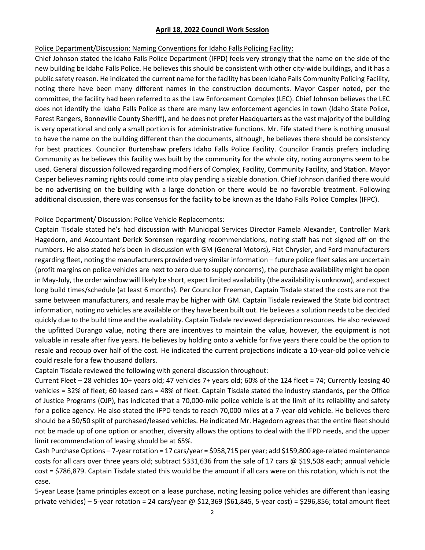### Police Department/Discussion: Naming Conventions for Idaho Falls Policing Facility:

Chief Johnson stated the Idaho Falls Police Department (IFPD) feels very strongly that the name on the side of the new building be Idaho Falls Police. He believes this should be consistent with other city-wide buildings, and it has a public safety reason. He indicated the current name for the facility has been Idaho Falls Community Policing Facility, noting there have been many different names in the construction documents. Mayor Casper noted, per the committee, the facility had been referred to as the Law Enforcement Complex (LEC). Chief Johnson believes the LEC does not identify the Idaho Falls Police as there are many law enforcement agencies in town (Idaho State Police, Forest Rangers, Bonneville County Sheriff), and he does not prefer Headquarters as the vast majority of the building is very operational and only a small portion is for administrative functions. Mr. Fife stated there is nothing unusual to have the name on the building different than the documents, although, he believes there should be consistency for best practices. Councilor Burtenshaw prefers Idaho Falls Police Facility. Councilor Francis prefers including Community as he believes this facility was built by the community for the whole city, noting acronyms seem to be used. General discussion followed regarding modifiers of Complex, Facility, Community Facility, and Station. Mayor Casper believes naming rights could come into play pending a sizable donation. Chief Johnson clarified there would be no advertising on the building with a large donation or there would be no favorable treatment. Following additional discussion, there was consensus for the facility to be known as the Idaho Falls Police Complex (IFPC).

## Police Department/ Discussion: Police Vehicle Replacements:

Captain Tisdale stated he's had discussion with Municipal Services Director Pamela Alexander, Controller Mark Hagedorn, and Accountant Derick Sorensen regarding recommendations, noting staff has not signed off on the numbers. He also stated he's been in discussion with GM (General Motors), Fiat Chrysler, and Ford manufacturers regarding fleet, noting the manufacturers provided very similar information – future police fleet sales are uncertain (profit margins on police vehicles are next to zero due to supply concerns), the purchase availability might be open in May-July, the order window will likely be short, expect limited availability (the availability is unknown), and expect long build times/schedule (at least 6 months). Per Councilor Freeman, Captain Tisdale stated the costs are not the same between manufacturers, and resale may be higher with GM. Captain Tisdale reviewed the State bid contract information, noting no vehicles are available or they have been built out. He believes a solution needs to be decided quickly due to the build time and the availability. Captain Tisdale reviewed depreciation resources. He also reviewed the upfitted Durango value, noting there are incentives to maintain the value, however, the equipment is not valuable in resale after five years. He believes by holding onto a vehicle for five years there could be the option to resale and recoup over half of the cost. He indicated the current projections indicate a 10-year-old police vehicle could resale for a few thousand dollars.

Captain Tisdale reviewed the following with general discussion throughout:

Current Fleet – 28 vehicles 10+ years old; 47 vehicles 7+ years old; 60% of the 124 fleet = 74; Currently leasing 40 vehicles = 32% of fleet; 60 leased cars = 48% of fleet. Captain Tisdale stated the industry standards, per the Office of Justice Programs (OJP), has indicated that a 70,000-mile police vehicle is at the limit of its reliability and safety for a police agency. He also stated the IFPD tends to reach 70,000 miles at a 7-year-old vehicle. He believes there should be a 50/50 split of purchased/leased vehicles. He indicated Mr. Hagedorn agrees that the entire fleet should not be made up of one option or another, diversity allows the options to deal with the IFPD needs, and the upper limit recommendation of leasing should be at 65%.

Cash Purchase Options – 7-year rotation = 17 cars/year = \$958,715 per year; add \$159,800 age-related maintenance costs for all cars over three years old; subtract \$331,636 from the sale of 17 cars @ \$19,508 each; annual vehicle cost = \$786,879. Captain Tisdale stated this would be the amount if all cars were on this rotation, which is not the case.

5-year Lease (same principles except on a lease purchase, noting leasing police vehicles are different than leasing private vehicles) – 5-year rotation = 24 cars/year @ \$12,369 (\$61,845, 5-year cost) = \$296,856; total amount fleet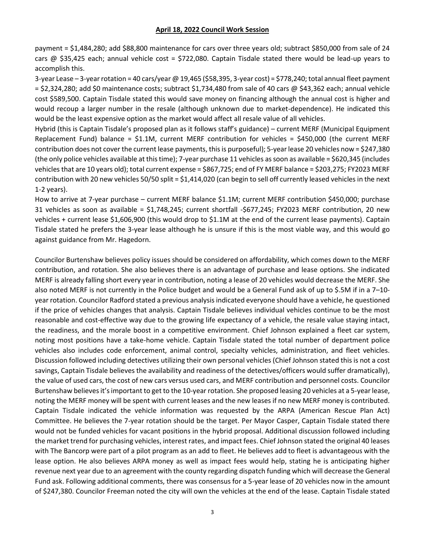payment = \$1,484,280; add \$88,800 maintenance for cars over three years old; subtract \$850,000 from sale of 24 cars  $@$  \$35,425 each; annual vehicle cost = \$722,080. Captain Tisdale stated there would be lead-up years to accomplish this.

3-year Lease – 3-year rotation = 40 cars/year @ 19,465 (\$58,395, 3-year cost) = \$778,240; total annual fleet payment = \$2,324,280; add \$0 maintenance costs; subtract \$1,734,480 from sale of 40 cars @ \$43,362 each; annual vehicle cost \$589,500. Captain Tisdale stated this would save money on financing although the annual cost is higher and would recoup a larger number in the resale (although unknown due to market-dependence). He indicated this would be the least expensive option as the market would affect all resale value of all vehicles.

Hybrid (this is Captain Tisdale's proposed plan as it follows staff's guidance) – current MERF (Municipal Equipment Replacement Fund) balance = \$1.1M, current MERF contribution for vehicles = \$450,000 (the current MERF contribution does not cover the current lease payments, this is purposeful); 5-year lease 20 vehicles now = \$247,380 (the only police vehicles available at this time); 7-year purchase 11 vehicles as soon as available = \$620,345 (includes vehicles that are 10 years old); total current expense = \$867,725; end of FY MERF balance = \$203,275; FY2023 MERF contribution with 20 new vehicles 50/50 split = \$1,414,020 (can begin to sell off currently leased vehicles in the next 1-2 years).

How to arrive at 7-year purchase – current MERF balance \$1.1M; current MERF contribution \$450,000; purchase 31 vehicles as soon as available = \$1,748,245; current shortfall -\$677,245; FY2023 MERF contribution, 20 new vehicles + current lease \$1,606,900 (this would drop to \$1.1M at the end of the current lease payments). Captain Tisdale stated he prefers the 3-year lease although he is unsure if this is the most viable way, and this would go against guidance from Mr. Hagedorn.

Councilor Burtenshaw believes policy issues should be considered on affordability, which comes down to the MERF contribution, and rotation. She also believes there is an advantage of purchase and lease options. She indicated MERF is already falling short every year in contribution, noting a lease of 20 vehicles would decrease the MERF. She also noted MERF is not currently in the Police budget and would be a General Fund ask of up to \$.5M if in a 7–10 year rotation. Councilor Radford stated a previous analysis indicated everyone should have a vehicle, he questioned if the price of vehicles changes that analysis. Captain Tisdale believes individual vehicles continue to be the most reasonable and cost-effective way due to the growing life expectancy of a vehicle, the resale value staying intact, the readiness, and the morale boost in a competitive environment. Chief Johnson explained a fleet car system, noting most positions have a take-home vehicle. Captain Tisdale stated the total number of department police vehicles also includes code enforcement, animal control, specialty vehicles, administration, and fleet vehicles. Discussion followed including detectives utilizing their own personal vehicles (Chief Johnson stated this is not a cost savings, Captain Tisdale believes the availability and readiness of the detectives/officers would suffer dramatically), the value of used cars, the cost of new cars versus used cars, and MERF contribution and personnel costs. Councilor Burtenshaw believes it's important to get to the 10-year rotation. She proposed leasing 20 vehicles at a 5-year lease, noting the MERF money will be spent with current leases and the new leases if no new MERF money is contributed. Captain Tisdale indicated the vehicle information was requested by the ARPA (American Rescue Plan Act) Committee. He believes the 7-year rotation should be the target. Per Mayor Casper, Captain Tisdale stated there would not be funded vehicles for vacant positions in the hybrid proposal. Additional discussion followed including the market trend for purchasing vehicles, interest rates, and impact fees. Chief Johnson stated the original 40 leases with The Bancorp were part of a pilot program as an add to fleet. He believes add to fleet is advantageous with the lease option. He also believes ARPA money as well as impact fees would help, stating he is anticipating higher revenue next year due to an agreement with the county regarding dispatch funding which will decrease the General Fund ask. Following additional comments, there was consensus for a 5-year lease of 20 vehicles now in the amount of \$247,380. Councilor Freeman noted the city will own the vehicles at the end of the lease. Captain Tisdale stated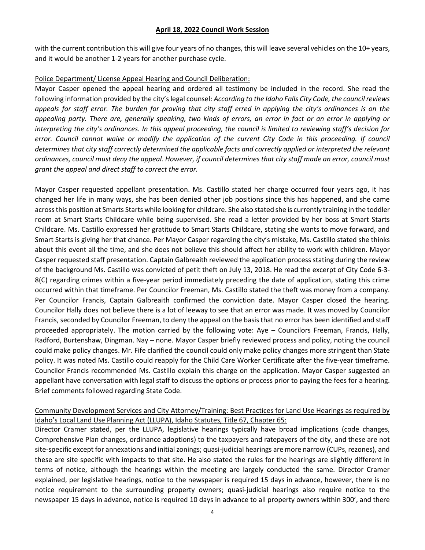with the current contribution this will give four years of no changes, this will leave several vehicles on the 10+ years, and it would be another 1-2 years for another purchase cycle.

## Police Department/ License Appeal Hearing and Council Deliberation:

Mayor Casper opened the appeal hearing and ordered all testimony be included in the record. She read the following information provided by the city's legal counsel: *According to the Idaho Falls City Code, the council reviews appeals for staff error. The burden for proving that city staff erred in applying the city's ordinances is on the appealing party. There are, generally speaking, two kinds of errors, an error in fact or an error in applying or interpreting the city's ordinances. In this appeal proceeding, the council is limited to reviewing staff's decision for*  error. Council cannot waive or modify the application of the current City Code in this proceeding. If council *determines that city staff correctly determined the applicable facts and correctly applied or interpreted the relevant ordinances, council must deny the appeal. However, if council determines that city staff made an error, council must grant the appeal and direct staff to correct the error.*

Mayor Casper requested appellant presentation. Ms. Castillo stated her charge occurred four years ago, it has changed her life in many ways, she has been denied other job positions since this has happened, and she came across this position at Smarts Starts while looking for childcare. She also stated she is currently training in the toddler room at Smart Starts Childcare while being supervised. She read a letter provided by her boss at Smart Starts Childcare. Ms. Castillo expressed her gratitude to Smart Starts Childcare, stating she wants to move forward, and Smart Starts is giving her that chance. Per Mayor Casper regarding the city's mistake, Ms. Castillo stated she thinks about this event all the time, and she does not believe this should affect her ability to work with children. Mayor Casper requested staff presentation. Captain Galbreaith reviewed the application process stating during the review of the background Ms. Castillo was convicted of petit theft on July 13, 2018. He read the excerpt of City Code 6-3- 8(C) regarding crimes within a five-year period immediately preceding the date of application, stating this crime occurred within that timeframe. Per Councilor Freeman, Ms. Castillo stated the theft was money from a company. Per Councilor Francis, Captain Galbreaith confirmed the conviction date. Mayor Casper closed the hearing. Councilor Hally does not believe there is a lot of leeway to see that an error was made. It was moved by Councilor Francis, seconded by Councilor Freeman, to deny the appeal on the basis that no error has been identified and staff proceeded appropriately. The motion carried by the following vote: Aye – Councilors Freeman, Francis, Hally, Radford, Burtenshaw, Dingman. Nay – none. Mayor Casper briefly reviewed process and policy, noting the council could make policy changes. Mr. Fife clarified the council could only make policy changes more stringent than State policy. It was noted Ms. Castillo could reapply for the Child Care Worker Certificate after the five-year timeframe. Councilor Francis recommended Ms. Castillo explain this charge on the application. Mayor Casper suggested an appellant have conversation with legal staff to discuss the options or process prior to paying the fees for a hearing. Brief comments followed regarding State Code.

# Community Development Services and City Attorney/Training: Best Practices for Land Use Hearings as required by Idaho's Local Land Use Planning Act (LLUPA), Idaho Statutes, Title 67, Chapter 65:

Director Cramer stated, per the LLUPA, legislative hearings typically have broad implications (code changes, Comprehensive Plan changes, ordinance adoptions) to the taxpayers and ratepayers of the city, and these are not site-specific except for annexations and initial zonings; quasi-judicial hearings are more narrow (CUPs, rezones), and these are site specific with impacts to that site. He also stated the rules for the hearings are slightly different in terms of notice, although the hearings within the meeting are largely conducted the same. Director Cramer explained, per legislative hearings, notice to the newspaper is required 15 days in advance, however, there is no notice requirement to the surrounding property owners; quasi-judicial hearings also require notice to the newspaper 15 days in advance, notice is required 10 days in advance to all property owners within 300', and there